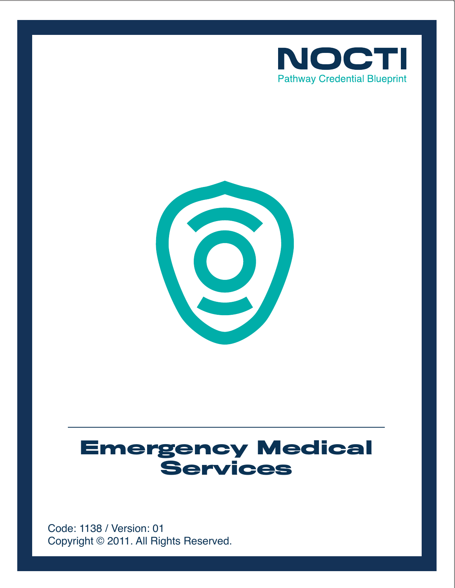



# **Emergency Medical Services**

Copyright © 2011. All Rights Reserved. Code: 1138 / Version: 01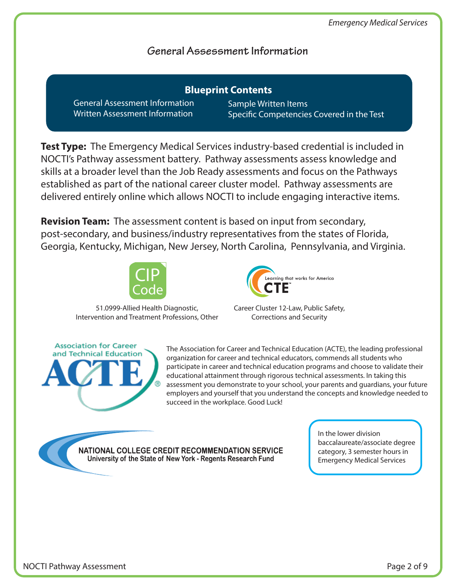## **General Assessment Information**

General Assessment Information Written Assessment Information **Blueprint Contents**

Sample Written Items Specific Competencies Covered in the Test

**Test Type:** The Emergency Medical Services industry-based credential is included in NOCTI's Pathway assessment battery. Pathway assessments assess knowledge and skills at a broader level than the Job Ready assessments and focus on the Pathways established as part of the national career cluster model. Pathway assessments are delivered entirely online which allows NOCTI to include engaging interactive items.

**Revision Team:** The assessment content is based on input from secondary, post-secondary, and business/industry representatives from the states of Florida, Georgia, Kentucky, Michigan, New Jersey, North Carolina, Pennsylvania, and Virginia.



51.0999-Allied Health Diagnostic, Intervention and Treatment Professions, Other



Career Cluster 12-Law, Public Safety, Corrections and Security

**Association for Career** and Technical Education

The Association for Career and Technical Education (ACTE), the leading professional organization for career and technical educators, commends all students who participate in career and technical education programs and choose to validate their educational attainment through rigorous technical assessments. In taking this assessment you demonstrate to your school, your parents and guardians, your future employers and yourself that you understand the concepts and knowledge needed to succeed in the workplace. Good Luck!

NATIONAL COLLEGE CREDIT RECOMMENDATION SERVICE University of the State of New York - Regents Research Fund

In the lower division baccalaureate/associate degree category, 3 semester hours in Emergency Medical Services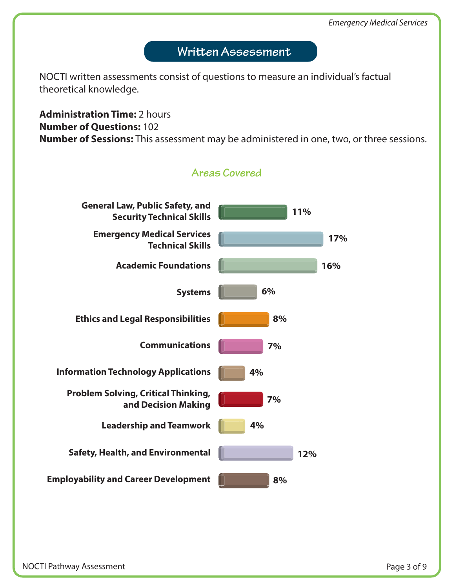# Written Assessment

NOCTI written assessments consist of questions to measure an individual's factual theoretical knowledge.

## **Administration Time:** 2 hours **Number of Questions:** 102 **Number of Sessions:** This assessment may be administered in one, two, or three sessions.

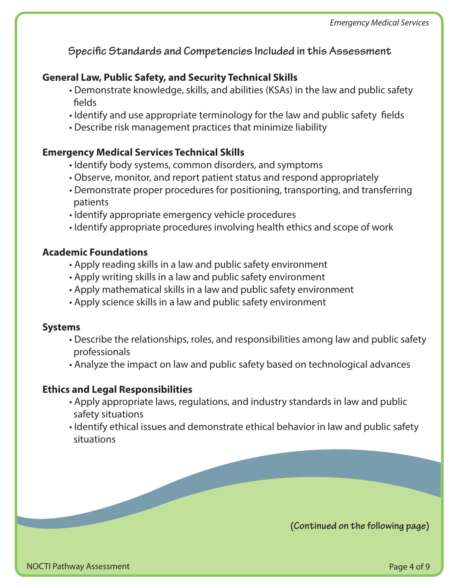**Specific Standards and Competencies Included in this Assessment** 

#### **General Law, Public Safety, and Security Technical Skills**

- Demonstrate knowledge, skills, and abilities (KSAs) in the law and public safety fields
- Identify and use appropriate terminology for the law and public safety fields
- Describe risk management practices that minimize liability

#### **Emergency Medical Services Technical Skills**

- Identify body systems, common disorders, and symptoms
- Observe, monitor, and report patient status and respond appropriately
- Demonstrate proper procedures for positioning, transporting, and transferring patients
- Identify appropriate emergency vehicle procedures
- Identify appropriate procedures involving health ethics and scope of work

#### **Academic Foundations**

- Apply reading skills in a law and public safety environment
- Apply writing skills in a law and public safety environment
- Apply mathematical skills in a law and public safety environment
- Apply science skills in a law and public safety environment

#### **Systems**

- Describe the relationships, roles, and responsibilities among law and public safety professionals
- Analyze the impact on law and public safety based on technological advances

#### **Ethics and Legal Responsibilities**

- Apply appropriate laws, regulations, and industry standards in law and public safety situations
- Identify ethical issues and demonstrate ethical behavior in law and public safety situations

**(Continued on the following page)**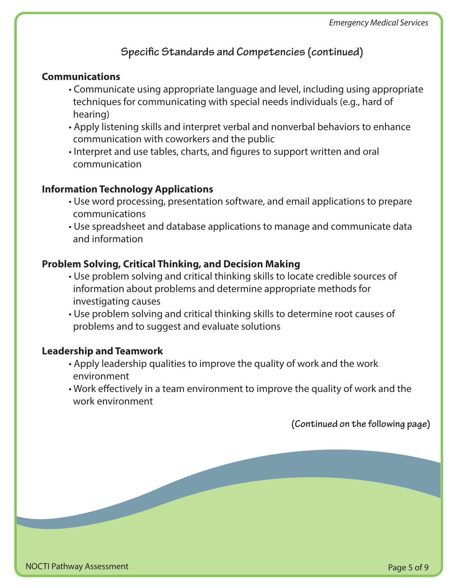# **Specific Standards and Competencies (continued)**

#### **Communications**

- Communicate using appropriate language and level, including using appropriate techniques for communicating with special needs individuals (e.g., hard of hearing)
- Apply listening skills and interpret verbal and nonverbal behaviors to enhance communication with coworkers and the public
- Interpret and use tables, charts, and figures to support written and oral communication

#### **Information Technology Applications**

- Use word processing, presentation software, and email applications to prepare communications
- Use spreadsheet and database applications to manage and communicate data and information

#### **Problem Solving, Critical Thinking, and Decision Making**

- Use problem solving and critical thinking skills to locate credible sources of information about problems and determine appropriate methods for investigating causes
- Use problem solving and critical thinking skills to determine root causes of problems and to suggest and evaluate solutions

#### **Leadership and Teamwork**

- Apply leadership qualities to improve the quality of work and the work environment
- Work effectively in a team environment to improve the quality of work and the work environment

**(Continued on the following page)**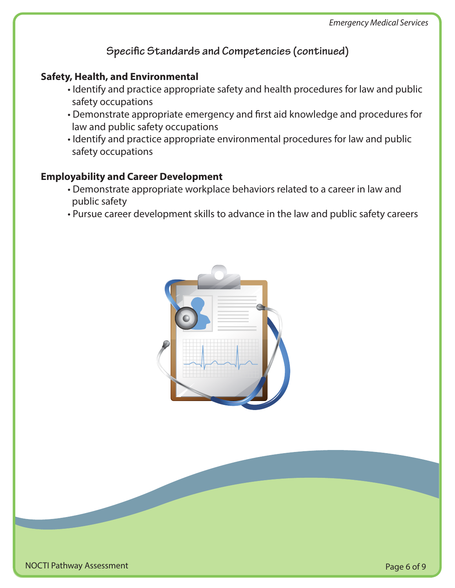**Specific Standards and Competencies (continued)** 

### **Safety, Health, and Environmental**

- Identify and practice appropriate safety and health procedures for law and public safety occupations
- Demonstrate appropriate emergency and first aid knowledge and procedures for law and public safety occupations
- Identify and practice appropriate environmental procedures for law and public safety occupations

#### **Employability and Career Development**

- Demonstrate appropriate workplace behaviors related to a career in law and public safety
- Pursue career development skills to advance in the law and public safety careers

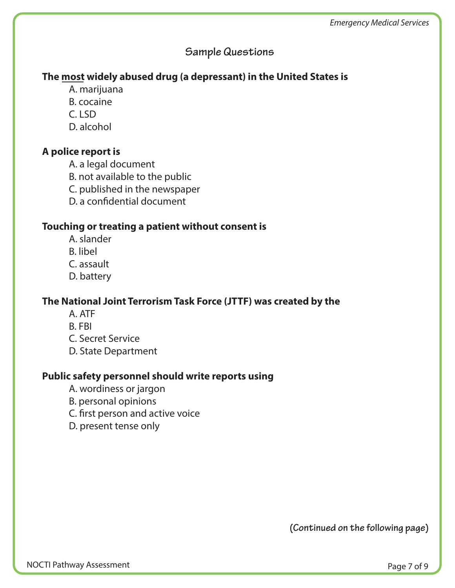# **Sample Questions**

## **The most widely abused drug (a depressant) in the United States is**

- A. marijuana
- B. cocaine
- $C.$  LSD
- D. alcohol

## **A police report is**

- A. a legal document
- B. not available to the public
- C. published in the newspaper
- D. a confidential document

## **Touching or treating a patient without consent is**

- A. slander
- B. libel
- C. assault
- D. battery

## **The National Joint Terrorism Task Force (JTTF) was created by the**

- A. ATF
- B. FBI
- C. Secret Service
- D. State Department

## **Public safety personnel should write reports using**

- A. wordiness or jargon
- B. personal opinions
- C. first person and active voice
- D. present tense only

**(Continued on the following page)**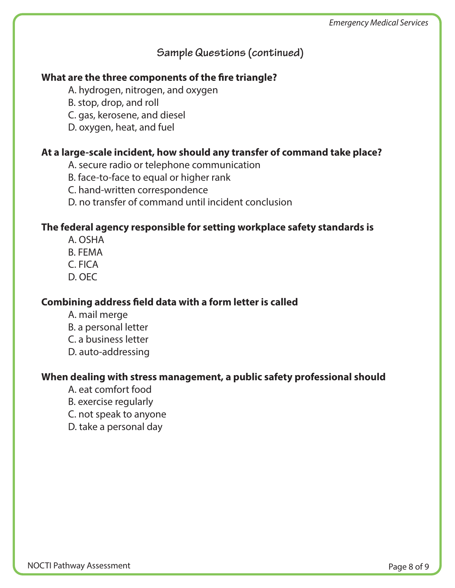# **Sample Questions (continued)**

## **What are the three components of the fire triangle?**

A. hydrogen, nitrogen, and oxygen

B. stop, drop, and roll

C. gas, kerosene, and diesel

D. oxygen, heat, and fuel

#### **At a large-scale incident, how should any transfer of command take place?**

A. secure radio or telephone communication

B. face-to-face to equal or higher rank

C. hand-written correspondence

D. no transfer of command until incident conclusion

#### **The federal agency responsible for setting workplace safety standards is**

- A. OSHA
- B. FEMA
- C. FICA
- D. OEC

## **Combining address field data with a form letter is called**

- A. mail merge
- B. a personal letter
- C. a business letter
- D. auto-addressing

## **When dealing with stress management, a public safety professional should**

- A. eat comfort food
- B. exercise regularly
- C. not speak to anyone
- D. take a personal day